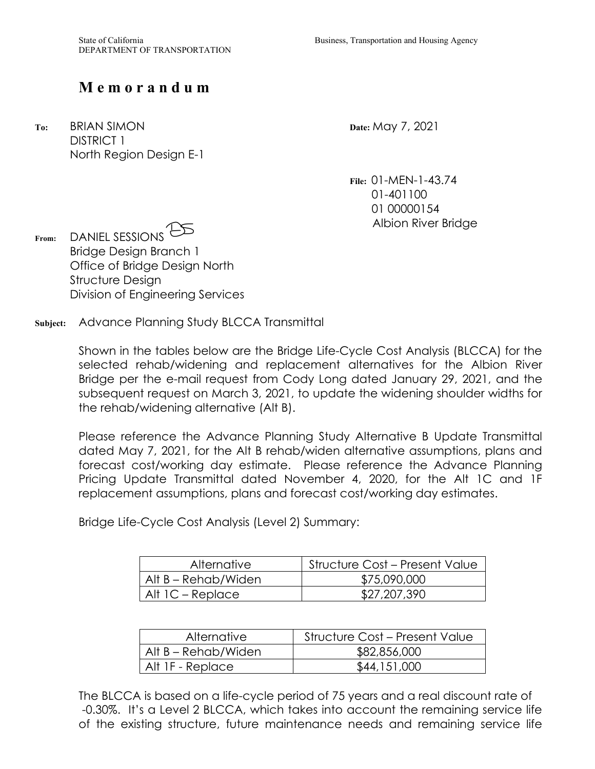## Memorandum

**M e m o r a n d u m To:** BRIAN SIMON **Date:** May 7, 2021 DISTRICT 1 North Region Design E-1

**File:** [01-MEN-1-43.74](https://01-MEN-1-43.74) 01-401100 01 00000154 Albion River Bridge

**From:** DANIEL SESSIONS Bridge Design Branch 1 Office of Bridge Design North Structure Design Division of Engineering Services

**Subject:** Advance Planning Study BLCCA Transmittal

 Shown in the tables below are the Bridge Life-Cycle Cost Analysis (BLCCA) for the selected rehab/widening and replacement alternatives for the Albion River Bridge per the e-mail request from Cody Long dated January 29, 2021, and the subsequent request on March 3, 2021, to update the widening shoulder widths for the rehab/widening alternative (Alt B).

 Pricing Update Transmittal dated November 4, 2020, for the Alt 1C and 1F Please reference the Advance Planning Study Alternative B Update Transmittal dated May 7, 2021, for the Alt B rehab/widen alternative assumptions, plans and forecast cost/working day estimate. Please reference the Advance Planning replacement assumptions, plans and forecast cost/working day estimates.

Bridge Life-Cycle Cost Analysis (Level 2) Summary:

| <b>Alternative</b>  | <b>Structure Cost – Present Value</b> |
|---------------------|---------------------------------------|
| Alt B – Rehab/Widen | \$75,090,000                          |
| Alt 1C – Replace    | \$27,207,390                          |

| <b>Alternative</b>  | <b>Structure Cost – Present Value</b> |
|---------------------|---------------------------------------|
| Alt B – Rehab/Widen | \$82,856,000                          |
| Alt 1F - Replace    | \$44,151,000                          |

 -0.30%. It's a Level 2 BLCCA, which takes into account the remaining service life The BLCCA is based on a life-cycle period of 75 years and a real discount rate of of the existing structure, future maintenance needs and remaining service life